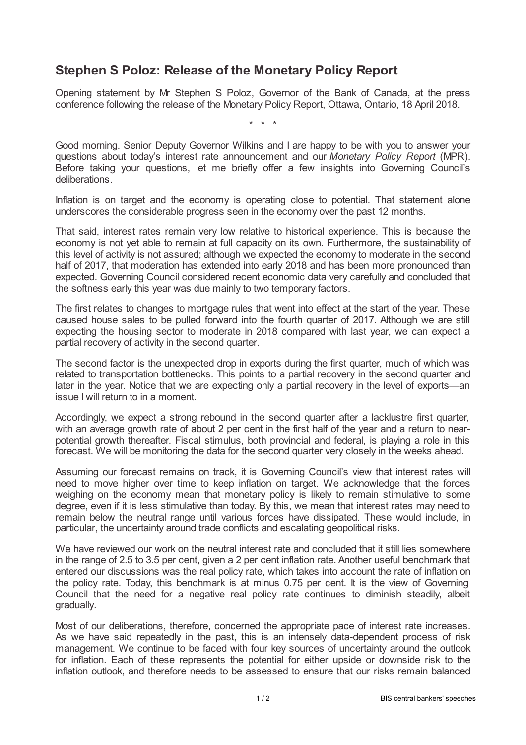## **Stephen S Poloz: Release of the Monetary Policy Report**

Opening statement by Mr Stephen S Poloz, Governor of the Bank of Canada, at the press conference following the release of the Monetary Policy Report, Ottawa, Ontario, 18 April 2018.

\* \* \*

Good morning. Senior Deputy Governor Wilkins and I are happy to be with you to answer your questions about today's interest rate announcement and our *Monetary Policy Report* (MPR). Before taking your questions, let me briefly offer a few insights into Governing Council's deliberations.

Inflation is on target and the economy is operating close to potential. That statement alone underscores the considerable progress seen in the economy over the past 12 months.

That said, interest rates remain very low relative to historical experience. This is because the economy is not yet able to remain at full capacity on its own. Furthermore, the sustainability of this level of activity is not assured; although we expected the economy to moderate in the second half of 2017, that moderation has extended into early 2018 and has been more pronounced than expected. Governing Council considered recent economic data very carefully and concluded that the softness early this year was due mainly to two temporary factors.

The first relates to changes to mortgage rules that went into effect at the start of the year. These caused house sales to be pulled forward into the fourth quarter of 2017. Although we are still expecting the housing sector to moderate in 2018 compared with last year, we can expect a partial recovery of activity in the second quarter.

The second factor is the unexpected drop in exports during the first quarter, much of which was related to transportation bottlenecks. This points to a partial recovery in the second quarter and later in the year. Notice that we are expecting only a partial recovery in the level of exports—an issue I will return to in a moment.

Accordingly, we expect a strong rebound in the second quarter after a lacklustre first quarter, with an average growth rate of about 2 per cent in the first half of the year and a return to nearpotential growth thereafter. Fiscal stimulus, both provincial and federal, is playing a role in this forecast. We will be monitoring the data for the second quarter very closely in the weeks ahead.

Assuming our forecast remains on track, it is Governing Council's view that interest rates will need to move higher over time to keep inflation on target. We acknowledge that the forces weighing on the economy mean that monetary policy is likely to remain stimulative to some degree, even if it is less stimulative than today. By this, we mean that interest rates may need to remain below the neutral range until various forces have dissipated. These would include, in particular, the uncertainty around trade conflicts and escalating geopolitical risks.

We have reviewed our work on the neutral interest rate and concluded that it still lies somewhere in the range of 2.5 to 3.5 per cent, given a 2 per cent inflation rate. Another useful benchmark that entered our discussions was the real policy rate, which takes into account the rate of inflation on the policy rate. Today, this benchmark is at minus 0.75 per cent. It is the view of Governing Council that the need for a negative real policy rate continues to diminish steadily, albeit gradually.

Most of our deliberations, therefore, concerned the appropriate pace of interest rate increases. As we have said repeatedly in the past, this is an intensely data-dependent process of risk management. We continue to be faced with four key sources of uncertainty around the outlook for inflation. Each of these represents the potential for either upside or downside risk to the inflation outlook, and therefore needs to be assessed to ensure that our risks remain balanced